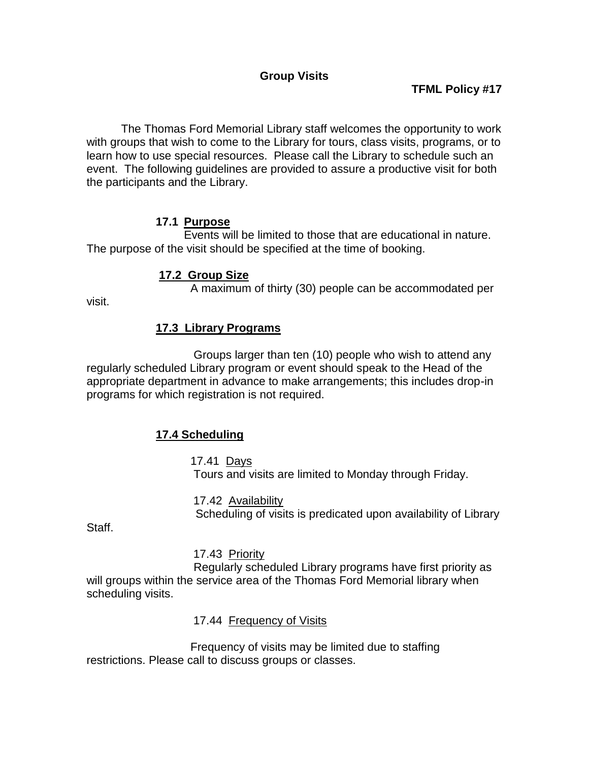# **Group Visits**

# **TFML Policy #17**

The Thomas Ford Memorial Library staff welcomes the opportunity to work with groups that wish to come to the Library for tours, class visits, programs, or to learn how to use special resources. Please call the Library to schedule such an event. The following guidelines are provided to assure a productive visit for both the participants and the Library.

### **17.1 Purpose**

Events will be limited to those that are educational in nature. The purpose of the visit should be specified at the time of booking.

### **17.2 Group Size**

A maximum of thirty (30) people can be accommodated per

visit.

# **17.3 Library Programs**

Groups larger than ten (10) people who wish to attend any regularly scheduled Library program or event should speak to the Head of the appropriate department in advance to make arrangements; this includes drop-in programs for which registration is not required.

# **17.4 Scheduling**

17.41 Days Tours and visits are limited to Monday through Friday.

17.42 Availability Scheduling of visits is predicated upon availability of Library

Staff.

### 17.43 Priority

Regularly scheduled Library programs have first priority as will groups within the service area of the Thomas Ford Memorial library when scheduling visits.

17.44 Frequency of Visits

Frequency of visits may be limited due to staffing restrictions. Please call to discuss groups or classes.